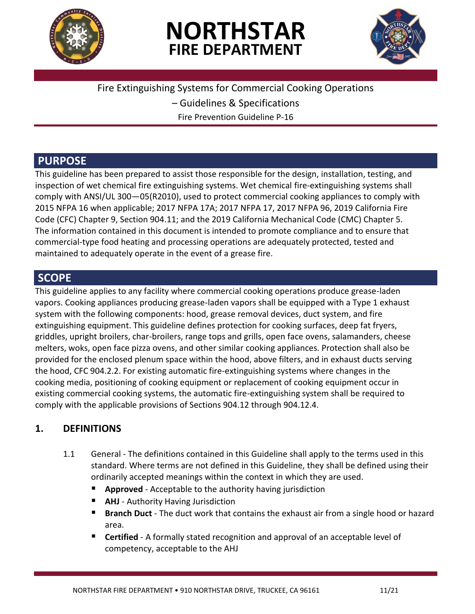

# **NORTHSTAR FIRE DEPARTMENT**



Fire Extinguishing Systems for Commercial Cooking Operations

– Guidelines & Specifications

Fire Prevention Guideline P-16

### **PURPOSE**

This guideline has been prepared to assist those responsible for the design, installation, testing, and inspection of wet chemical fire extinguishing systems. Wet chemical fire-extinguishing systems shall comply with ANSI/UL 300—05(R2010), used to protect commercial cooking appliances to comply with 2015 NFPA 16 when applicable; 2017 NFPA 17A; 2017 NFPA 17, 2017 NFPA 96, 2019 California Fire Code (CFC) Chapter 9, Section 904.11; and the 2019 California Mechanical Code (CMC) Chapter 5. The information contained in this document is intended to promote compliance and to ensure that commercial-type food heating and processing operations are adequately protected, tested and maintained to adequately operate in the event of a grease fire.

### **SCOPE**

This guideline applies to any facility where commercial cooking operations produce grease-laden vapors. Cooking appliances producing grease-laden vapors shall be equipped with a Type 1 exhaust system with the following components: hood, grease removal devices, duct system, and fire extinguishing equipment. This guideline defines protection for cooking surfaces, deep fat fryers, griddles, upright broilers, char-broilers, range tops and grills, open face ovens, salamanders, cheese melters, woks, open face pizza ovens, and other similar cooking appliances. Protection shall also be provided for the enclosed plenum space within the hood, above filters, and in exhaust ducts serving the hood, CFC 904.2.2. For existing automatic fire-extinguishing systems where changes in the cooking media, positioning of cooking equipment or replacement of cooking equipment occur in existing commercial cooking systems, the automatic fire-extinguishing system shall be required to comply with the applicable provisions of Sections 904.12 through 904.12.4.

### **1. DEFINITIONS**

- 1.1 General The definitions contained in this Guideline shall apply to the terms used in this standard. Where terms are not defined in this Guideline, they shall be defined using their ordinarily accepted meanings within the context in which they are used.
	- **Approved** Acceptable to the authority having jurisdiction
	- **AHJ** Authority Having Jurisdiction
	- **Branch Duct** The duct work that contains the exhaust air from a single hood or hazard area.
	- **Certified** A formally stated recognition and approval of an acceptable level of competency, acceptable to the AHJ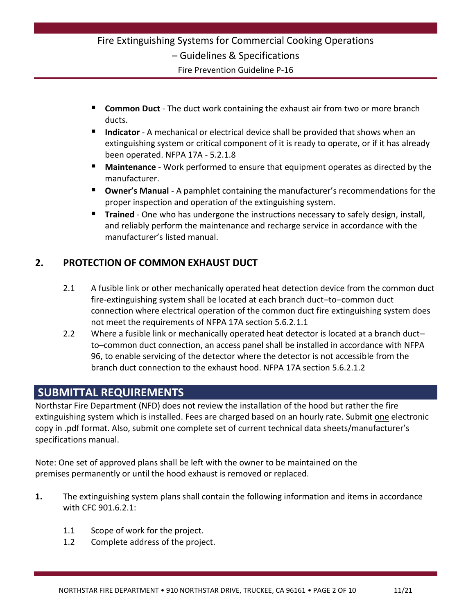### Fire Extinguishing Systems for Commercial Cooking Operations – Guidelines & Specifications Fire Prevention Guideline P-16

- **Common Duct** The duct work containing the exhaust air from two or more branch ducts.
- **Indicator** A mechanical or electrical device shall be provided that shows when an extinguishing system or critical component of it is ready to operate, or if it has already been operated. NFPA 17A - 5.2.1.8
- **Maintenance** Work performed to ensure that equipment operates as directed by the manufacturer.
- **Owner's Manual** A pamphlet containing the manufacturer's recommendations for the proper inspection and operation of the extinguishing system.
- **Trained** One who has undergone the instructions necessary to safely design, install, and reliably perform the maintenance and recharge service in accordance with the manufacturer's listed manual.

### **2. PROTECTION OF COMMON EXHAUST DUCT**

- 2.1 A fusible link or other mechanically operated heat detection device from the common duct fire-extinguishing system shall be located at each branch duct–to–common duct connection where electrical operation of the common duct fire extinguishing system does not meet the requirements of NFPA 17A section 5.6.2.1.1
- 2.2 Where a fusible link or mechanically operated heat detector is located at a branch ductto–common duct connection, an access panel shall be installed in accordance with NFPA 96, to enable servicing of the detector where the detector is not accessible from the branch duct connection to the exhaust hood. NFPA 17A section 5.6.2.1.2

### **SUBMITTAL REQUIREMENTS**

Northstar Fire Department (NFD) does not review the installation of the hood but rather the fire extinguishing system which is installed. Fees are charged based on an hourly rate. Submit one electronic copy in .pdf format. Also, submit one complete set of current technical data sheets/manufacturer's specifications manual.

Note: One set of approved plans shall be left with the owner to be maintained on the premises permanently or until the hood exhaust is removed or replaced.

- **1.** The extinguishing system plans shall contain the following information and items in accordance with CFC 901.6.2.1:
	- 1.1 Scope of work for the project.
	- 1.2 Complete address of the project.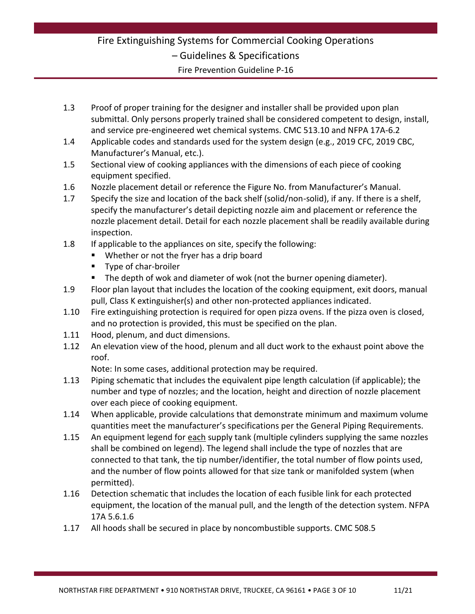# Fire Extinguishing Systems for Commercial Cooking Operations – Guidelines & Specifications

Fire Prevention Guideline P-16

- 1.3 Proof of proper training for the designer and installer shall be provided upon plan submittal. Only persons properly trained shall be considered competent to design, install, and service pre-engineered wet chemical systems. CMC 513.10 and NFPA 17A-6.2
- 1.4 Applicable codes and standards used for the system design (e.g., 2019 CFC, 2019 CBC, Manufacturer's Manual, etc.).
- 1.5 Sectional view of cooking appliances with the dimensions of each piece of cooking equipment specified.
- 1.6 Nozzle placement detail or reference the Figure No. from Manufacturer's Manual.
- 1.7 Specify the size and location of the back shelf (solid/non-solid), if any. If there is a shelf, specify the manufacturer's detail depicting nozzle aim and placement or reference the nozzle placement detail. Detail for each nozzle placement shall be readily available during inspection.
- 1.8 If applicable to the appliances on site, specify the following:
	- Whether or not the fryer has a drip board
	- **Type of char-broiler**
	- The depth of wok and diameter of wok (not the burner opening diameter).
- 1.9 Floor plan layout that includes the location of the cooking equipment, exit doors, manual pull, Class K extinguisher(s) and other non-protected appliances indicated.
- 1.10 Fire extinguishing protection is required for open pizza ovens. If the pizza oven is closed, and no protection is provided, this must be specified on the plan.
- 1.11 Hood, plenum, and duct dimensions.
- 1.12 An elevation view of the hood, plenum and all duct work to the exhaust point above the roof.

Note: In some cases, additional protection may be required.

- 1.13 Piping schematic that includes the equivalent pipe length calculation (if applicable); the number and type of nozzles; and the location, height and direction of nozzle placement over each piece of cooking equipment.
- 1.14 When applicable, provide calculations that demonstrate minimum and maximum volume quantities meet the manufacturer's specifications per the General Piping Requirements.
- 1.15 An equipment legend for each supply tank (multiple cylinders supplying the same nozzles shall be combined on legend). The legend shall include the type of nozzles that are connected to that tank, the tip number/identifier, the total number of flow points used, and the number of flow points allowed for that size tank or manifolded system (when permitted).
- 1.16 Detection schematic that includes the location of each fusible link for each protected equipment, the location of the manual pull, and the length of the detection system. NFPA 17A 5.6.1.6
- 1.17 All hoods shall be secured in place by noncombustible supports. CMC 508.5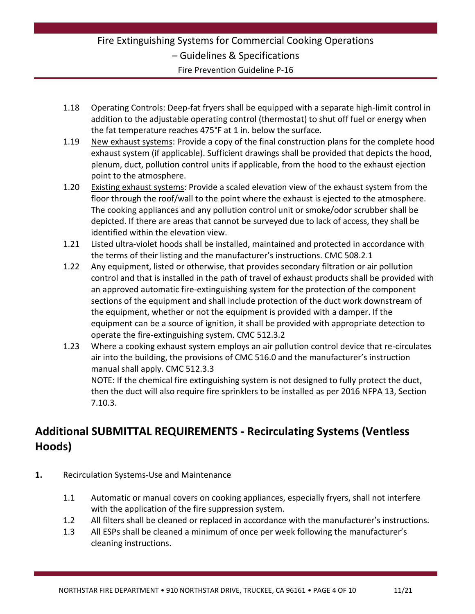### Fire Extinguishing Systems for Commercial Cooking Operations – Guidelines & Specifications Fire Prevention Guideline P-16

- 1.18 Operating Controls: Deep-fat fryers shall be equipped with a separate high-limit control in addition to the adjustable operating control (thermostat) to shut off fuel or energy when the fat temperature reaches 475°F at 1 in. below the surface.
- 1.19 New exhaust systems: Provide a copy of the final construction plans for the complete hood exhaust system (if applicable). Sufficient drawings shall be provided that depicts the hood, plenum, duct, pollution control units if applicable, from the hood to the exhaust ejection point to the atmosphere.
- 1.20 Existing exhaust systems: Provide a scaled elevation view of the exhaust system from the floor through the roof/wall to the point where the exhaust is ejected to the atmosphere. The cooking appliances and any pollution control unit or smoke/odor scrubber shall be depicted. If there are areas that cannot be surveyed due to lack of access, they shall be identified within the elevation view.
- 1.21 Listed ultra-violet hoods shall be installed, maintained and protected in accordance with the terms of their listing and the manufacturer's instructions. CMC 508.2.1
- 1.22 Any equipment, listed or otherwise, that provides secondary filtration or air pollution control and that is installed in the path of travel of exhaust products shall be provided with an approved automatic fire-extinguishing system for the protection of the component sections of the equipment and shall include protection of the duct work downstream of the equipment, whether or not the equipment is provided with a damper. If the equipment can be a source of ignition, it shall be provided with appropriate detection to operate the fire-extinguishing system. CMC 512.3.2
- 1.23 Where a cooking exhaust system employs an air pollution control device that re-circulates air into the building, the provisions of CMC 516.0 and the manufacturer's instruction manual shall apply. CMC 512.3.3 NOTE: If the chemical fire extinguishing system is not designed to fully protect the duct, then the duct will also require fire sprinklers to be installed as per 2016 NFPA 13, Section 7.10.3.

### **Additional SUBMITTAL REQUIREMENTS - Recirculating Systems (Ventless Hoods)**

- **1.** Recirculation Systems-Use and Maintenance
	- 1.1 Automatic or manual covers on cooking appliances, especially fryers, shall not interfere with the application of the fire suppression system.
	- 1.2 All filters shall be cleaned or replaced in accordance with the manufacturer's instructions.
	- 1.3 All ESPs shall be cleaned a minimum of once per week following the manufacturer's cleaning instructions.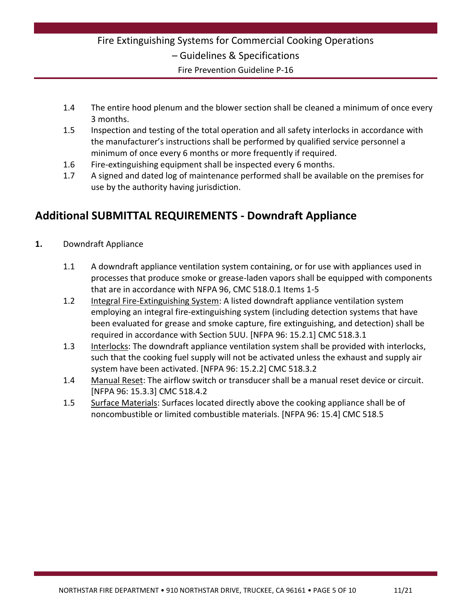### Fire Extinguishing Systems for Commercial Cooking Operations – Guidelines & Specifications Fire Prevention Guideline P-16

- 1.4 The entire hood plenum and the blower section shall be cleaned a minimum of once every 3 months.
- 1.5 Inspection and testing of the total operation and all safety interlocks in accordance with the manufacturer's instructions shall be performed by qualified service personnel a minimum of once every 6 months or more frequently if required.
- 1.6 Fire-extinguishing equipment shall be inspected every 6 months.
- 1.7 A signed and dated log of maintenance performed shall be available on the premises for use by the authority having jurisdiction.

### **Additional SUBMITTAL REQUIREMENTS - Downdraft Appliance**

- **1.** Downdraft Appliance
	- 1.1 A downdraft appliance ventilation system containing, or for use with appliances used in processes that produce smoke or grease-laden vapors shall be equipped with components that are in accordance with NFPA 96, CMC 518.0.1 Items 1-5
	- 1.2 Integral Fire-Extinguishing System: A listed downdraft appliance ventilation system employing an integral fire-extinguishing system (including detection systems that have been evaluated for grease and smoke capture, fire extinguishing, and detection) shall be required in accordance with Section 5UU. [NFPA 96: 15.2.1] CMC 518.3.1
	- 1.3 Interlocks: The downdraft appliance ventilation system shall be provided with interlocks, such that the cooking fuel supply will not be activated unless the exhaust and supply air system have been activated. [NFPA 96: 15.2.2] CMC 518.3.2
	- 1.4 Manual Reset: The airflow switch or transducer shall be a manual reset device or circuit. [NFPA 96: 15.3.3] CMC 518.4.2
	- 1.5 Surface Materials: Surfaces located directly above the cooking appliance shall be of noncombustible or limited combustible materials. [NFPA 96: 15.4] CMC 518.5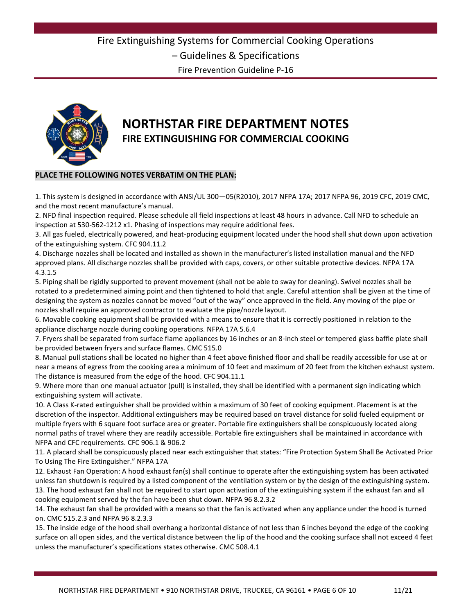Fire Prevention Guideline P-16



## **NORTHSTAR FIRE DEPARTMENT NOTES FIRE EXTINGUISHING FOR COMMERCIAL COOKING**

#### **PLACE THE FOLLOWING NOTES VERBATIM ON THE PLAN:**

1. This system is designed in accordance with ANSI/UL 300—05(R2010), 2017 NFPA 17A; 2017 NFPA 96, 2019 CFC, 2019 CMC, and the most recent manufacture's manual.

2. NFD final inspection required. Please schedule all field inspections at least 48 hours in advance. Call NFD to schedule an inspection at 530-562-1212 x1. Phasing of inspections may require additional fees.

3. All gas fueled, electrically powered, and heat-producing equipment located under the hood shall shut down upon activation of the extinguishing system. CFC 904.11.2

4. Discharge nozzles shall be located and installed as shown in the manufacturer's listed installation manual and the NFD approved plans. All discharge nozzles shall be provided with caps, covers, or other suitable protective devices. NFPA 17A 4.3.1.5

5. Piping shall be rigidly supported to prevent movement (shall not be able to sway for cleaning). Swivel nozzles shall be rotated to a predetermined aiming point and then tightened to hold that angle. Careful attention shall be given at the time of designing the system as nozzles cannot be moved "out of the way" once approved in the field. Any moving of the pipe or nozzles shall require an approved contractor to evaluate the pipe/nozzle layout.

6. Movable cooking equipment shall be provided with a means to ensure that it is correctly positioned in relation to the appliance discharge nozzle during cooking operations. NFPA 17A 5.6.4

7. Fryers shall be separated from surface flame appliances by 16 inches or an 8-inch steel or tempered glass baffle plate shall be provided between fryers and surface flames. CMC 515.0

8. Manual pull stations shall be located no higher than 4 feet above finished floor and shall be readily accessible for use at or near a means of egress from the cooking area a minimum of 10 feet and maximum of 20 feet from the kitchen exhaust system. The distance is measured from the edge of the hood. CFC 904.11.1

9. Where more than one manual actuator (pull) is installed, they shall be identified with a permanent sign indicating which extinguishing system will activate.

10. A Class K-rated extinguisher shall be provided within a maximum of 30 feet of cooking equipment. Placement is at the discretion of the inspector. Additional extinguishers may be required based on travel distance for solid fueled equipment or multiple fryers with 6 square foot surface area or greater. Portable fire extinguishers shall be conspicuously located along normal paths of travel where they are readily accessible. Portable fire extinguishers shall be maintained in accordance with NFPA and CFC requirements. CFC 906.1 & 906.2

11. A placard shall be conspicuously placed near each extinguisher that states: "Fire Protection System Shall Be Activated Prior To Using The Fire Extinguisher." NFPA 17A

12. Exhaust Fan Operation: A hood exhaust fan(s) shall continue to operate after the extinguishing system has been activated unless fan shutdown is required by a listed component of the ventilation system or by the design of the extinguishing system. 13. The hood exhaust fan shall not be required to start upon activation of the extinguishing system if the exhaust fan and all cooking equipment served by the fan have been shut down. NFPA 96 8.2.3.2

14. The exhaust fan shall be provided with a means so that the fan is activated when any appliance under the hood is turned on. CMC 515.2.3 and NFPA 96 8.2.3.3

15. The inside edge of the hood shall overhang a horizontal distance of not less than 6 inches beyond the edge of the cooking surface on all open sides, and the vertical distance between the lip of the hood and the cooking surface shall not exceed 4 feet unless the manufacturer's specifications states otherwise. CMC 508.4.1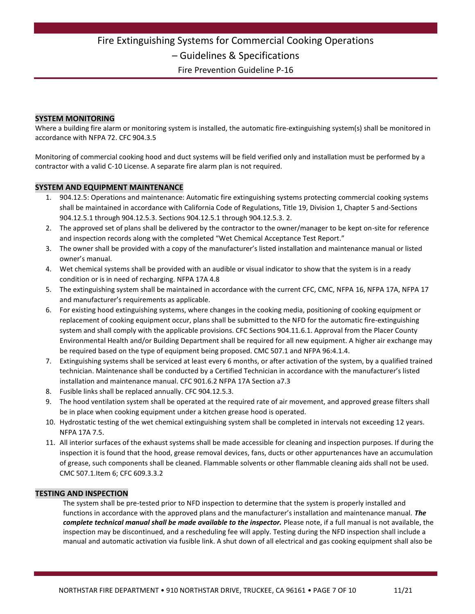Fire Extinguishing Systems for Commercial Cooking Operations

– Guidelines & Specifications

Fire Prevention Guideline P-16

#### **SYSTEM MONITORING**

Where a building fire alarm or monitoring system is installed, the automatic fire-extinguishing system(s) shall be monitored in accordance with NFPA 72. CFC 904.3.5

Monitoring of commercial cooking hood and duct systems will be field verified only and installation must be performed by a contractor with a valid C-10 License. A separate fire alarm plan is not required.

#### **SYSTEM AND EQUIPMENT MAINTENANCE**

- 1. 904.12.5: Operations and maintenance: Automatic fire extinguishing systems protecting commercial cooking systems shall be maintained in accordance with California Code of Regulations, Title 19, Division 1, Chapter 5 and-Sections 904.12.5.1 through 904.12.5.3. Sections 904.12.5.1 through 904.12.5.3. 2.
- 2. The approved set of plans shall be delivered by the contractor to the owner/manager to be kept on-site for reference and inspection records along with the completed "Wet Chemical Acceptance Test Report."
- 3. The owner shall be provided with a copy of the manufacturer's listed installation and maintenance manual or listed owner's manual.
- 4. Wet chemical systems shall be provided with an audible or visual indicator to show that the system is in a ready condition or is in need of recharging. NFPA 17A 4.8
- 5. The extinguishing system shall be maintained in accordance with the current CFC, CMC, NFPA 16, NFPA 17A, NFPA 17 and manufacturer's requirements as applicable.
- 6. For existing hood extinguishing systems, where changes in the cooking media, positioning of cooking equipment or replacement of cooking equipment occur, plans shall be submitted to the NFD for the automatic fire-extinguishing system and shall comply with the applicable provisions. CFC Sections 904.11.6.1. Approval from the Placer County Environmental Health and/or Building Department shall be required for all new equipment. A higher air exchange may be required based on the type of equipment being proposed. CMC 507.1 and NFPA 96:4.1.4.
- 7. Extinguishing systems shall be serviced at least every 6 months, or after activation of the system, by a qualified trained technician. Maintenance shall be conducted by a Certified Technician in accordance with the manufacturer's listed installation and maintenance manual. CFC 901.6.2 NFPA 17A Section a7.3
- 8. Fusible links shall be replaced annually. CFC 904.12.5.3.
- 9. The hood ventilation system shall be operated at the required rate of air movement, and approved grease filters shall be in place when cooking equipment under a kitchen grease hood is operated.
- 10. Hydrostatic testing of the wet chemical extinguishing system shall be completed in intervals not exceeding 12 years. NFPA 17A 7.5.
- 11. All interior surfaces of the exhaust systems shall be made accessible for cleaning and inspection purposes. If during the inspection it is found that the hood, grease removal devices, fans, ducts or other appurtenances have an accumulation of grease, such components shall be cleaned. Flammable solvents or other flammable cleaning aids shall not be used. CMC 507.1.Item 6; CFC 609.3.3.2

#### **TESTING AND INSPECTION**

The system shall be pre-tested prior to NFD inspection to determine that the system is properly installed and functions in accordance with the approved plans and the manufacturer's installation and maintenance manual. *The complete technical manual shall be made available to the inspector.* Please note, if a full manual is not available, the inspection may be discontinued, and a rescheduling fee will apply. Testing during the NFD inspection shall include a manual and automatic activation via fusible link. A shut down of all electrical and gas cooking equipment shall also be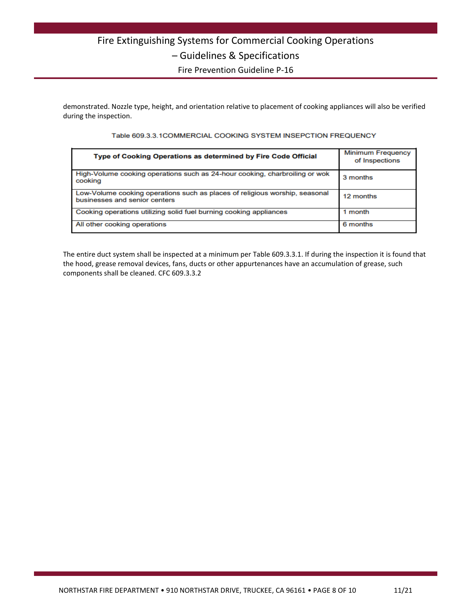# Fire Extinguishing Systems for Commercial Cooking Operations – Guidelines & Specifications

Fire Prevention Guideline P-16

demonstrated. Nozzle type, height, and orientation relative to placement of cooking appliances will also be verified during the inspection.

#### Table 609.3.3.1COMMERCIAL COOKING SYSTEM INSEPCTION FREQUENCY

| Type of Cooking Operations as determined by Fire Code Official                                               | <b>Minimum Frequency</b><br>of Inspections |
|--------------------------------------------------------------------------------------------------------------|--------------------------------------------|
| High-Volume cooking operations such as 24-hour cooking, charbroiling or wok<br>cooking                       | 3 months                                   |
| Low-Volume cooking operations such as places of religious worship, seasonal<br>businesses and senior centers | 12 months                                  |
| Cooking operations utilizing solid fuel burning cooking appliances                                           | 1 month                                    |
| All other cooking operations                                                                                 | 6 months                                   |

The entire duct system shall be inspected at a minimum per Table 609.3.3.1. If during the inspection it is found that the hood, grease removal devices, fans, ducts or other appurtenances have an accumulation of grease, such components shall be cleaned. CFC 609.3.3.2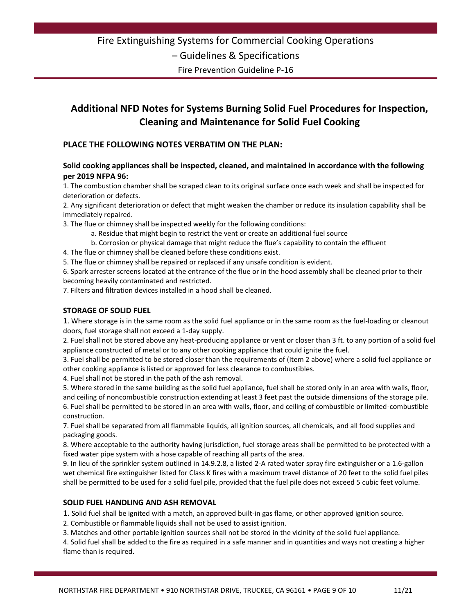Fire Prevention Guideline P-16

### **Additional NFD Notes for Systems Burning Solid Fuel Procedures for Inspection, Cleaning and Maintenance for Solid Fuel Cooking**

#### **PLACE THE FOLLOWING NOTES VERBATIM ON THE PLAN:**

#### **Solid cooking appliances shall be inspected, cleaned, and maintained in accordance with the following per 2019 NFPA 96:**

1. The combustion chamber shall be scraped clean to its original surface once each week and shall be inspected for deterioration or defects.

2. Any significant deterioration or defect that might weaken the chamber or reduce its insulation capability shall be immediately repaired.

3. The flue or chimney shall be inspected weekly for the following conditions:

- a. Residue that might begin to restrict the vent or create an additional fuel source
- b. Corrosion or physical damage that might reduce the flue's capability to contain the effluent
- 4. The flue or chimney shall be cleaned before these conditions exist.

5. The flue or chimney shall be repaired or replaced if any unsafe condition is evident.

6. Spark arrester screens located at the entrance of the flue or in the hood assembly shall be cleaned prior to their becoming heavily contaminated and restricted.

7. Filters and filtration devices installed in a hood shall be cleaned.

#### **STORAGE OF SOLID FUEL**

1. Where storage is in the same room as the solid fuel appliance or in the same room as the fuel-loading or cleanout doors, fuel storage shall not exceed a 1-day supply.

2. Fuel shall not be stored above any heat-producing appliance or vent or closer than 3 ft. to any portion of a solid fuel appliance constructed of metal or to any other cooking appliance that could ignite the fuel.

3. Fuel shall be permitted to be stored closer than the requirements of (Item 2 above) where a solid fuel appliance or other cooking appliance is listed or approved for less clearance to combustibles.

4. Fuel shall not be stored in the path of the ash removal.

5. Where stored in the same building as the solid fuel appliance, fuel shall be stored only in an area with walls, floor, and ceiling of noncombustible construction extending at least 3 feet past the outside dimensions of the storage pile. 6. Fuel shall be permitted to be stored in an area with walls, floor, and ceiling of combustible or limited-combustible construction.

7. Fuel shall be separated from all flammable liquids, all ignition sources, all chemicals, and all food supplies and packaging goods.

8. Where acceptable to the authority having jurisdiction, fuel storage areas shall be permitted to be protected with a fixed water pipe system with a hose capable of reaching all parts of the area.

9. In lieu of the sprinkler system outlined in 14.9.2.8, a listed 2-A rated water spray fire extinguisher or a 1.6-gallon wet chemical fire extinguisher listed for Class K fires with a maximum travel distance of 20 feet to the solid fuel piles shall be permitted to be used for a solid fuel pile, provided that the fuel pile does not exceed 5 cubic feet volume.

#### **SOLID FUEL HANDLING AND ASH REMOVAL**

1. Solid fuel shall be ignited with a match, an approved built-in gas flame, or other approved ignition source.

2. Combustible or flammable liquids shall not be used to assist ignition.

3. Matches and other portable ignition sources shall not be stored in the vicinity of the solid fuel appliance.

4. Solid fuel shall be added to the fire as required in a safe manner and in quantities and ways not creating a higher flame than is required.